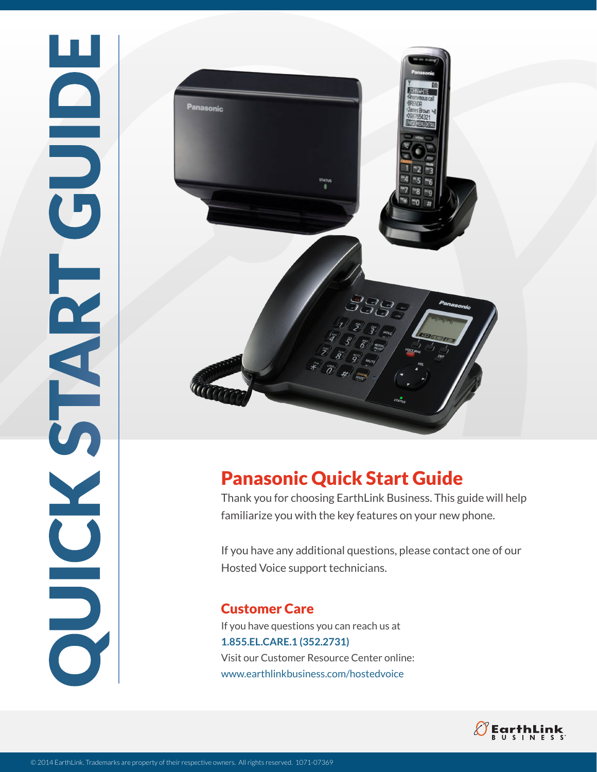

## Panasonic Quick Start Guide

Thank you for choosing EarthLink Business. This guide will help familiarize you with the key features on your new phone.

If you have any additional questions, please contact one of our Hosted Voice support technicians.

Customer Care If you have questions you can reach us at **1.855.EL.CARE.1 (352.2731)**  Visit our Customer Resource Center online: www.earthlinkbusiness.com/hostedvoice

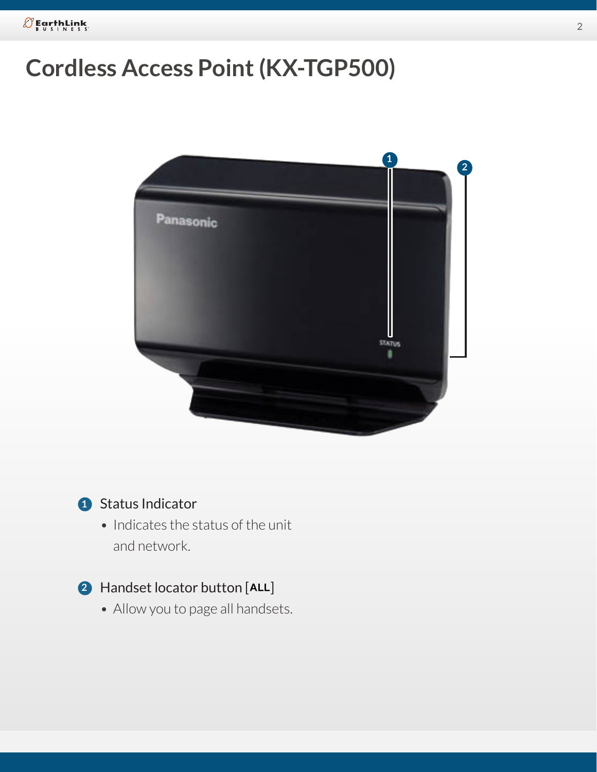# **Cordless Access Point (KX-TGP500)**



Q Status Indicator **1**

• Indicates the status of the unit and network.

## **2** Handset locator button [ALL]

• Allow you to page all handsets.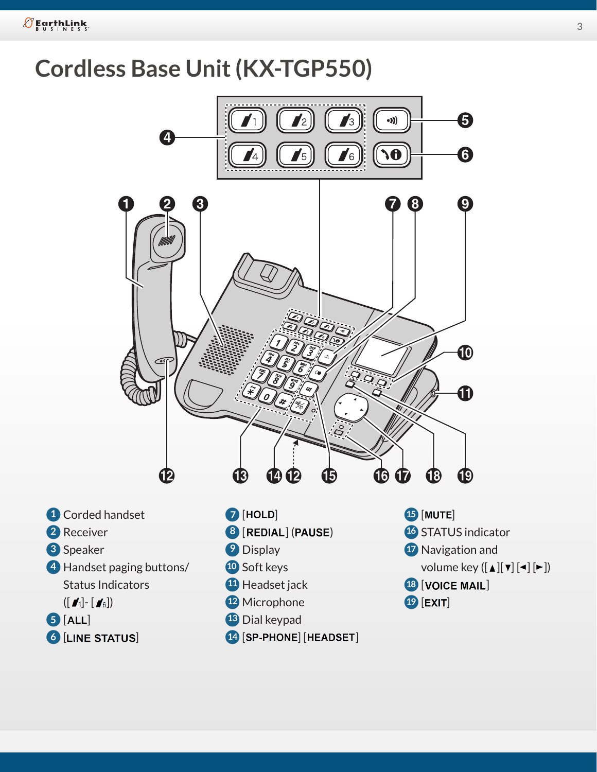$\mathcal{O}$  EarthLink

# **Cordless Base Unit (KX-TGP550)**

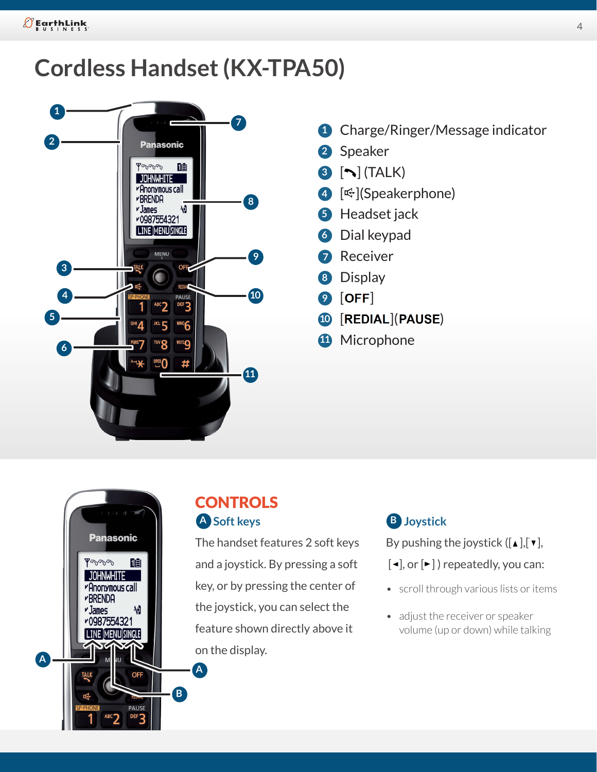# **Cordless Handset (KX-TPA50)**



- **1** Charge/Ringer/Message indicator
- Q Speaker **2**
- **3** [ ] (TALK)
- 4 [<sup> $\bigoplus$ </sup>](Speakerphone)
- **5** Headset jack
- **6** Dial keypad
- **7** Receiver
- Q Display **8**
- **9** [OFF]
- **<sup>10</sup>** [REDIAL](PAUSE)
- **11** Microphone



## **CONTROLS A** Soft keys B

The handset features 2 soft keys and a joystick. By pressing a soft key, or by pressing the center of the joystick, you can select the feature shown directly above it on the display.

### **Joystick**

By pushing the joystick  $([\triangle] , [\triangle] ,$ 

- $[\blacktriangleleft]$ , or  $[\blacktriangleright]$  ) repeatedly, you can:
- scroll through various lists or items
- adjust the receiver or speaker volume (up or down) while talking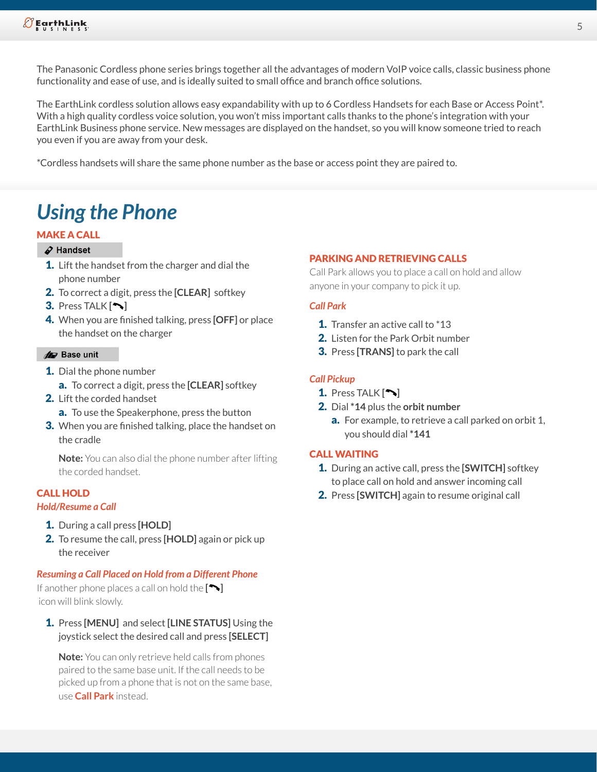The Panasonic Cordless phone series brings together all the advantages of modern VoIP voice calls, classic business phone functionality and ease of use, and is ideally suited to small office and branch office solutions.

The EarthLink cordless solution allows easy expandability with up to 6 Cordless Handsets for each Base or Access Point\*. With a high quality cordless voice solution, you won't miss important calls thanks to the phone's integration with your EarthLink Business phone service. New messages are displayed on the handset, so you will know someone tried to reach you even if you are away from your desk.

\*Cordless handsets will share the same phone number as the base or access point they are paired to.

## *Using the Phone*

#### MAKE A CALL

#### $\mathcal{L}$  Handset

- **1.** Lift the handset from the charger and dial the phone number
- 2. To correct a digit, press the **[CLEAR]** softkey
- 3. Press TALK **[ ]**
- 4. When you are finished talking, press **[OFF]** or place the handset on the charger

#### **Ar** Base unit

- **1.** Dial the phone number
	- a. To correct a digit, press the **[CLEAR]** softkey
- 2. Lift the corded handset
	- a. To use the Speakerphone, press the button
- **3.** When you are finished talking, place the handset on the cradle

**Note:** You can also dial the phone number after lifting the corded handset.

#### CALL HOLD

#### *Hold/Resume a Call*

- 1. During a call press **[HOLD]**
- 2. To resume the call, press **[HOLD]** again or pick up the receiver

#### *Resuming a Call Placed on Hold from a Different Phone*

If another phone places a call on hold the **[ ]** icon will blink slowly.

1. Press **[MENU]** and select **[LINE STATUS]** Using the joystick select the desired call and press **[SELECT]**

**Note:** You can only retrieve held calls from phones paired to the same base unit. If the call needs to be picked up from a phone that is not on the same base, use **Call Park** instead.

#### PARKING AND RETRIEVING CALLS

Call Park allows you to place a call on hold and allow anyone in your company to pick it up.

#### *Call Park*

- 1. Transfer an active call to \*13
- 2. Listen for the Park Orbit number
- 3. Press **[TRANS]** to park the call

#### *Call Pickup*

- 1. Press TALK **[ ]**
- 2. Dial **\*14** plus the **orbit number**
	- a. For example, to retrieve a call parked on orbit 1, you should dial **\*141**

#### CALL WAITING

- 1. During an active call, press the **[SWITCH]** softkey to place call on hold and answer incoming call
- 2. Press **[SWITCH]** again to resume original call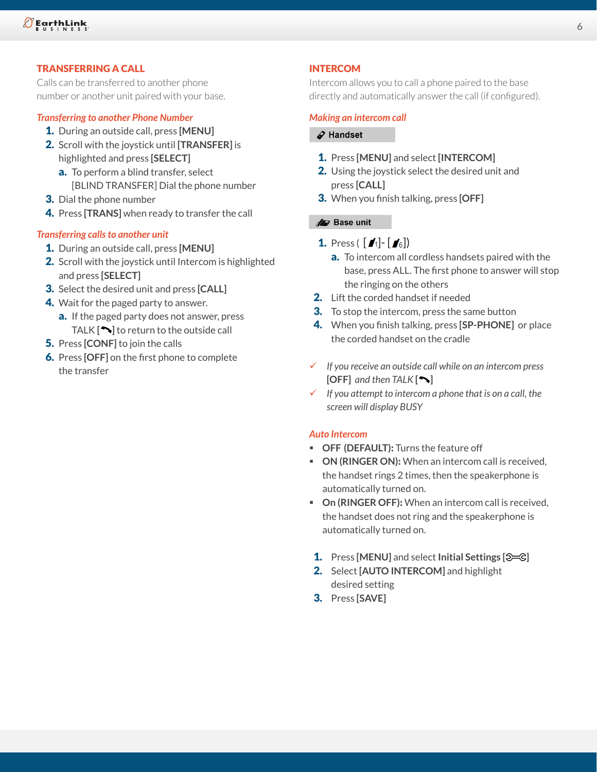#### TRANSFERRING A CALL

Calls can be transferred to another phone number or another unit paired with your base.

#### *Transferring to another Phone Number*

- 1. During an outside call, press **[MENU]**
- 2. Scroll with the joystick until **[TRANSFER]** is highlighted and press **[SELECT]**
	- a. To perform a blind transfer, select [BLIND TRANSFER] Dial the phone number
- **3.** Dial the phone number
- 4. Press **[TRANS]** when ready to transfer the call

#### *Transferring calls to another unit*

- 1. During an outside call, press **[MENU]**
- 2. Scroll with the joystick until Intercom is highlighted and press **[SELECT]**
- 3. Select the desired unit and press **[CALL]**
- **4.** Wait for the paged party to answer.
	- a. If the paged party does not answer, press TALK **[ ]** to return to the outside call
- 5. Press **[CONF]** to join the calls
- 6. Press **[OFF]** on the first phone to complete the transfer

#### INTERCOM

Intercom allows you to call a phone paired to the base directly and automatically answer the call (if configured).

#### *Making an intercom call*

#### $\mathcal S$  Handset

- 1. Press **[MENU]** and select **[INTERCOM]**
- 2. Using the joystick select the desired unit and press **[CALL]**
- 3. When you finish talking, press **[OFF]**

#### **10** Base unit

- **1.** Press (  $\bm{I}$ - $\bm{I}$ - $\bm{I}$   $\bm{s}$   $\bm{s}$ 
	- a. To intercom all cordless handsets paired with the base, press ALL. The first phone to answer will stop the ringing on the others
- 2. Lift the corded handset if needed
- **3.** To stop the intercom, press the same button
- 4. When you finish talking, press **[SP-PHONE]** or place the corded handset on the cradle
- 9 *If you receive an outside call while on an intercom press*   $[OFF]$  and then  $TALK[\n\blacktriangleright]$
- $\checkmark$  If you attempt to intercom a phone that is on a call, the *screen will display BUSY*

#### *Auto Intercom*

- **OFF (DEFAULT)**: Turns the feature off
- **ON (RINGER ON):** When an intercom call is received, the handset rings 2 times, then the speakerphone is automatically turned on.
- **On (RINGER OFF)**: When an intercom call is received, the handset does not ring and the speakerphone is automatically turned on.
- 1. Press **[MENU]** and select **Initial Settings [ ]**
- 2. Select **[AUTO INTERCOM]** and highlight desired setting
- 3. Press **[SAVE]**